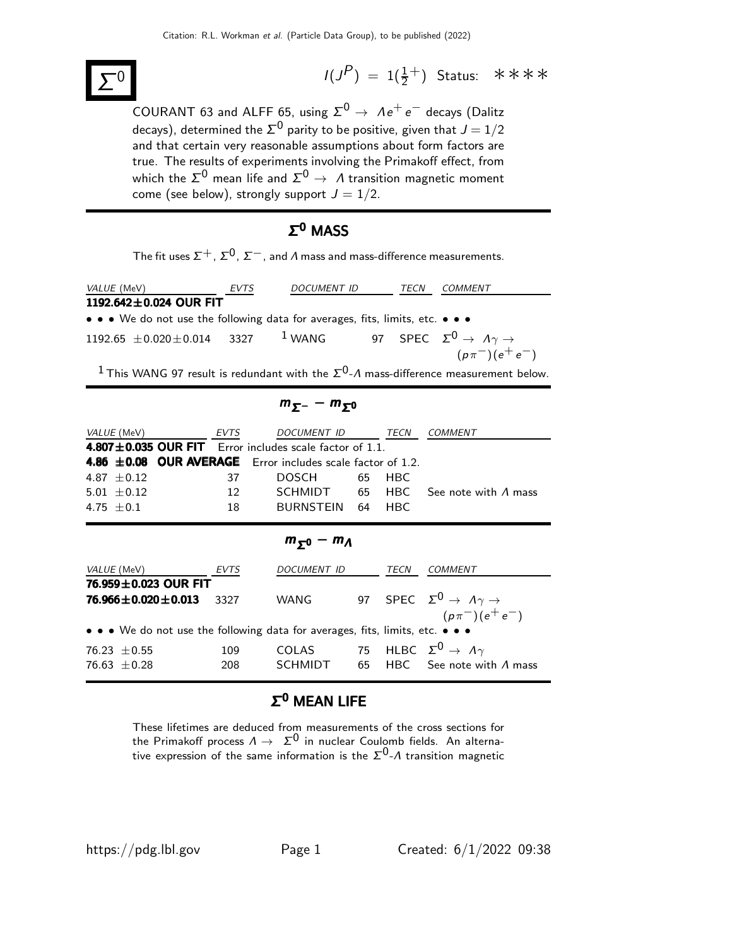

 $(P) = 1(\frac{1}{2}^+)$  Status: \*\*\*\*

-<br>COURANT 63 and ALFF 65, using  $\Sigma^0 \rightarrow \; \Lambda e^+ \, e^-$  decays (Dalitz decays), determined the  $\Sigma^0$  parity to be positive, given that  $J=1/2$ and that certain very reasonable assumptions about form factors are true. The results of experiments involving the Primakoff effect, from which the  $\mathsf{\Sigma}^0$  mean life and  $\mathsf{\Sigma}^0 \to\varLambda$  transition magnetic moment come (see below), strongly support  $J = 1/2$ .

### Σ <sup>0</sup> MASS

The fit uses  $\Sigma^+$ ,  $\Sigma^0$ ,  $\Sigma^-$ , and  $\Lambda$  mass and mass-difference measurements.

| <i>VALUE</i> (MeV)                                                                               | EVTS | <i>DOCUMENT ID</i> | TECN | <i>COMMENT</i>          |
|--------------------------------------------------------------------------------------------------|------|--------------------|------|-------------------------|
| 1192.642 $\pm$ 0.024 OUR FIT                                                                     |      |                    |      |                         |
| • • • We do not use the following data for averages, fits, limits, etc. • • •                    |      |                    |      |                         |
| 1192.65 $\pm$ 0.020 $\pm$ 0.014 3327 <sup>1</sup> WANG 97 SPEC $\Sigma^0 \to \Lambda \gamma \to$ |      |                    |      |                         |
|                                                                                                  |      |                    |      | $(p\pi^-) (e^+ \, e^-)$ |
|                                                                                                  |      |                    |      |                         |

<sup>1</sup> This WANG 97 result is redundant with the  $\Sigma^{0}$ - $\Lambda$  mass-difference measurement below.

 $m_{\Sigma^-}-m_{\Sigma^0}$ VALUE (MeV) **EVTS** DOCUMENT ID TECN COMMENT  $4.807 \pm 0.035$  OUR FIT Error includes scale factor of 1.1. 4.86  $\pm$ 0.08 OUR AVERAGE Error includes scale factor of 1.2. 4.87 ±0.12 37 DOSCH 65 HBC  $5.01 \pm 0.12$  12 SCHMIDT 65 HBC See note with  $\Lambda$  mass 4.75 ±0.1 18 BURNSTEIN 64 HBC  $m_{\Sigma^0} - m_A$ 

| VALUE (MeV)                                                                   | <i>EVTS</i> | DOCUMENT ID  | TECN | COMMENT                                            |
|-------------------------------------------------------------------------------|-------------|--------------|------|----------------------------------------------------|
| 76.959±0.023 OUR FIT                                                          |             |              |      |                                                    |
| 76.966 $\pm$ 0.020 $\pm$ 0.013                                                | 3327        | <b>WANG</b>  |      | 97 SPEC $\Sigma^0 \rightarrow A\gamma \rightarrow$ |
|                                                                               |             |              |      | $(p\pi^-)(e^+e^-)$                                 |
| • • • We do not use the following data for averages, fits, limits, etc. • • • |             |              |      |                                                    |
| 76.23 $\pm$ 0.55                                                              | 109         | <b>COLAS</b> |      | 75 HLBC $\Sigma^0 \rightarrow A\gamma$             |
| 76.63 $\pm$ 0.28                                                              | 208         | SCHMIDT      |      | 65 HBC See note with $\Lambda$ mass                |
|                                                                               |             |              |      |                                                    |

#### $\Sigma^0$  MEAN LIFE

These lifetimes are deduced from measurements of the cross sections for these methods are deduced non-interest methods. An alterna-<br>the Primakoff process  $\Lambda \to \Sigma^0$  in nuclear Coulomb fields. An alternative expression of the same information is the  $\Sigma^0$ - $\Lambda$  transition magnetic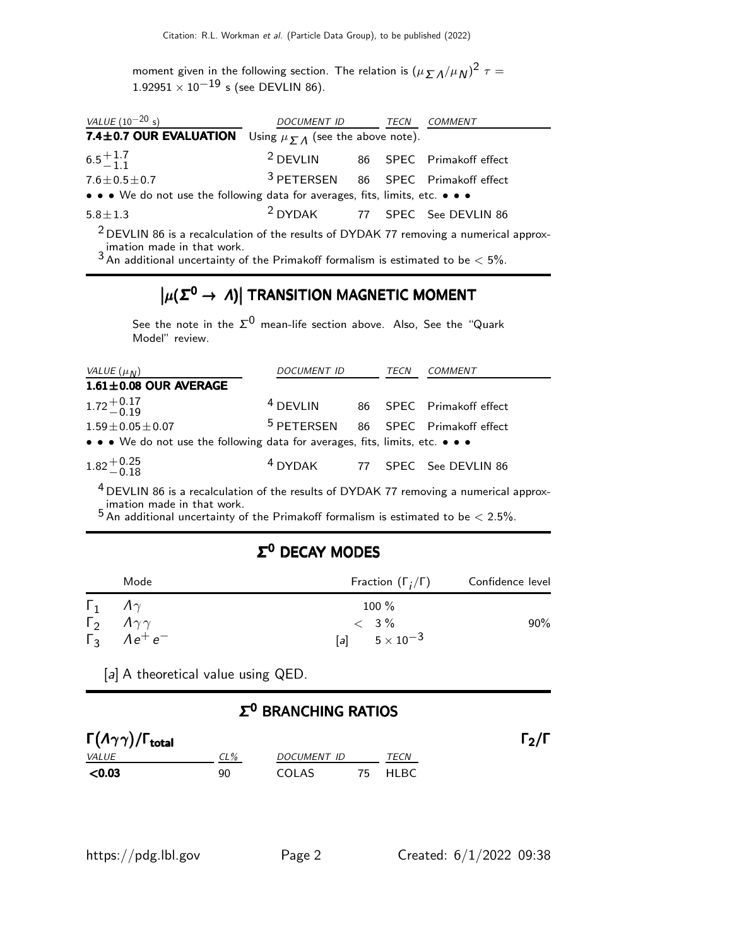moment given in the following section. The relation is  $(\mu \sum \Lambda/\mu_{\rm N})^2 \tau =$  $1.92951 \times 10^{-19}$  s (see DEVLIN 86).

| VALUE $(10^{-20} s)$                                                          | DOCUMENT ID TECN COMMENT |  |                                                |
|-------------------------------------------------------------------------------|--------------------------|--|------------------------------------------------|
| <b>7.4±0.7 OUR EVALUATION</b> Using $\mu_{\Sigma A}$ (see the above note).    |                          |  |                                                |
| $6.5^{+1.7}_{-1.1}$                                                           | <sup>2</sup> DEVLIN      |  | 86 SPEC Primakoff effect                       |
| $7.6 \pm 0.5 \pm 0.7$                                                         |                          |  | <sup>3</sup> PETERSEN 86 SPEC Primakoff effect |
| • • • We do not use the following data for averages, fits, limits, etc. • • • |                          |  |                                                |
| $5.8 \pm 1.3$                                                                 |                          |  | <sup>2</sup> DYDAK 77 SPEC See DEVLIN 86       |
|                                                                               |                          |  |                                                |

 $2$  DEVLIN 86 is a recalculation of the results of DYDAK 77 removing a numerical approximation made in that work.

 $3$  An additional uncertainty of the Primakoff formalism is estimated to be  $< 5\%$ .

# $|\mu(\mathcal{\Sigma}^{\mathbf{0}} \to \Lambda)|$  TRANSITION MAGNETIC MOMENT

See the note in the  $\Sigma^0$  mean-life section above. Also, See the "Quark Model" review.

| VALUE $(\mu_N)$                                                               | DOCUMENT ID                                    |  | <i>TECN</i> | <i>COMMENT</i>           |
|-------------------------------------------------------------------------------|------------------------------------------------|--|-------------|--------------------------|
| $1.61 \pm 0.08$ OUR AVERAGE                                                   |                                                |  |             |                          |
| $1.72^{+0.17}_{-0.19}$                                                        | $4$ DEVLIN                                     |  |             | 86 SPEC Primakoff effect |
| $1.59 \pm 0.05 \pm 0.07$                                                      | <sup>5</sup> PETERSEN 86 SPEC Primakoff effect |  |             |                          |
| • • • We do not use the following data for averages, fits, limits, etc. • • • |                                                |  |             |                          |
| $1.82^{+0.25}_{-0.18}$                                                        | <sup>4</sup> DYDAK 77 SPEC See DEVLIN 86       |  |             |                          |

<sup>4</sup> DEVLIN 86 is a recalculation of the results of DYDAK 77 removing a numerical approx-

imation made in that work.<br><sup>5</sup> An additional uncertainty of the Primakoff formalism is estimated to be  $<$  2.5%.

#### Σ <sup>0</sup> DECAY MODES

| Mode                             | Fraction $(\Gamma_i/\Gamma)$ | Confidence level |  |
|----------------------------------|------------------------------|------------------|--|
| $\Gamma_1$ $A\gamma$             | $100\%$                      |                  |  |
| $\Gamma_2 \Lambda \gamma \gamma$ | $< 3\%$                      | 90%              |  |
| $\Gamma_3$ $Ae^+e^-$             | [a] $5 \times 10^{-3}$       |                  |  |

[a] A theoretical value using QED.

#### Σ <sup>0</sup> BRANCHING RATIOS

| $\Gamma(\Lambda\gamma\gamma)/\Gamma_{\rm total}$ |     |             |         | $\Gamma_2/\Gamma$ |
|--------------------------------------------------|-----|-------------|---------|-------------------|
| <i>VALUE</i>                                     | CL% | DOCUMENT ID | TECN    |                   |
| $<$ 0.03                                         | 90  | COLAS       | 75 HLBC |                   |